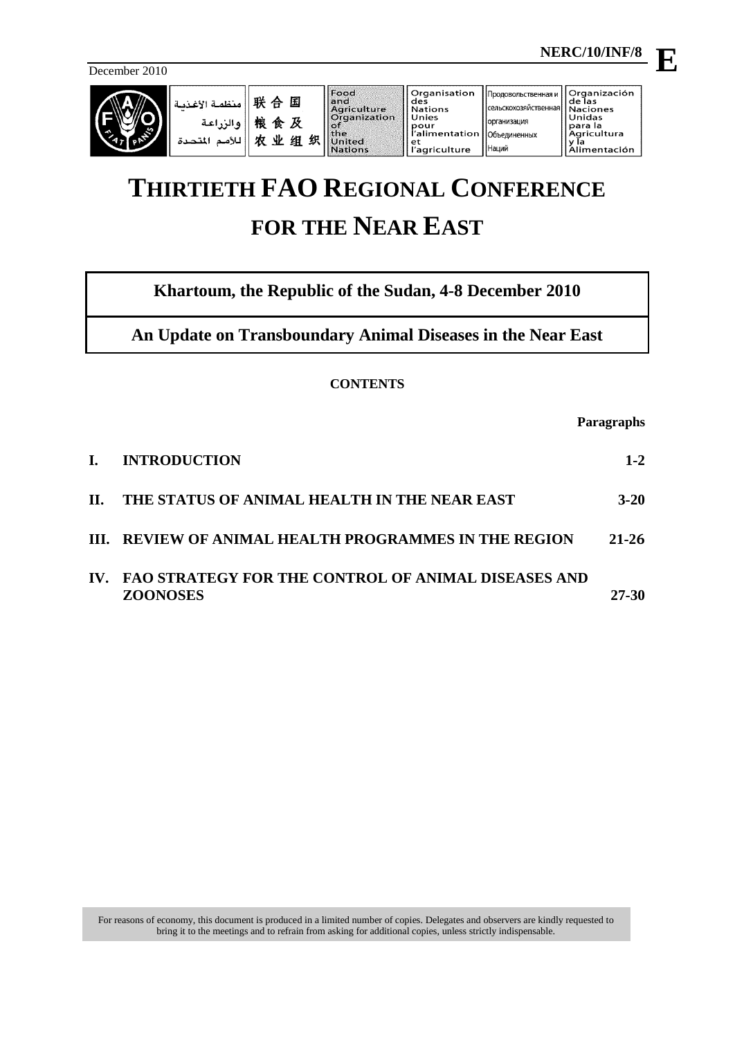December 2010



# **THIRTIETH FAO REGIONAL CONFERENCE FOR THE NEAR EAST**

**Khartoum, the Republic of the Sudan, 4-8 December 2010**

**An Update on Transboundary Animal Diseases in the Near East**

# **CONTENTS**

**Paragraphs**

| L.  | <b>INTRODUCTION</b>                                                        | $1 - 2$   |
|-----|----------------------------------------------------------------------------|-----------|
| II. | THE STATUS OF ANIMAL HEALTH IN THE NEAR EAST                               | $3 - 20$  |
|     | III. REVIEW OF ANIMAL HEALTH PROGRAMMES IN THE REGION                      | $21 - 26$ |
|     | IV. FAO STRATEGY FOR THE CONTROL OF ANIMAL DISEASES AND<br><b>ZOONOSES</b> | 27-30     |

**E**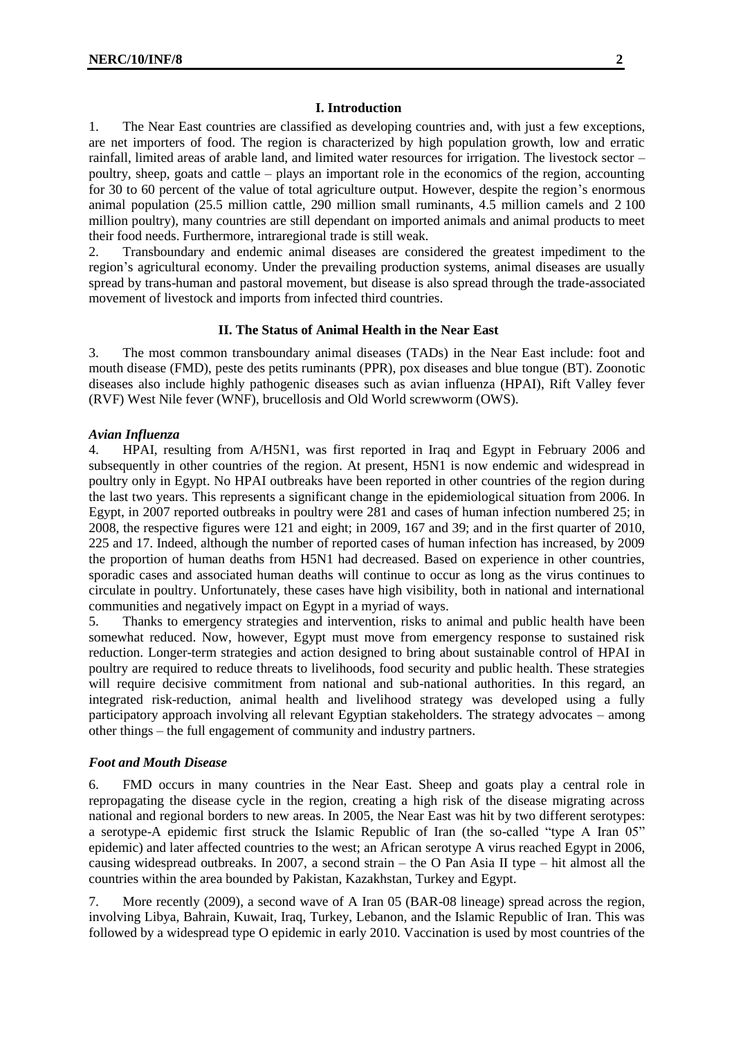# <span id="page-1-0"></span>**I. Introduction**

1. The Near East countries are classified as developing countries and, with just a few exceptions, are net importers of food. The region is characterized by high population growth, low and erratic rainfall, limited areas of arable land, and limited water resources for irrigation. The livestock sector – poultry, sheep, goats and cattle – plays an important role in the economics of the region, accounting for 30 to 60 percent of the value of total agriculture output. However, despite the region's enormous animal population (25.5 million cattle, 290 million small ruminants, 4.5 million camels and 2 100 million poultry), many countries are still dependant on imported animals and animal products to meet their food needs. Furthermore, intraregional trade is still weak.

2. Transboundary and endemic animal diseases are considered the greatest impediment to the region's agricultural economy. Under the prevailing production systems, animal diseases are usually spread by trans-human and pastoral movement, but disease is also spread through the trade-associated movement of livestock and imports from infected third countries.

# **II. The Status of Animal Health in the Near East**

<span id="page-1-1"></span>3. The most common transboundary animal diseases (TADs) in the Near East include: foot and mouth disease (FMD), peste des petits ruminants (PPR), pox diseases and blue tongue (BT). Zoonotic diseases also include highly pathogenic diseases such as avian influenza (HPAI), Rift Valley fever (RVF) West Nile fever (WNF), brucellosis and Old World screwworm (OWS).

#### *Avian Influenza*

4. HPAI, resulting from A/H5N1, was first reported in Iraq and Egypt in February 2006 and subsequently in other countries of the region. At present, H5N1 is now endemic and widespread in poultry only in Egypt. No HPAI outbreaks have been reported in other countries of the region during the last two years. This represents a significant change in the epidemiological situation from 2006. In Egypt, in 2007 reported outbreaks in poultry were 281 and cases of human infection numbered 25; in 2008, the respective figures were 121 and eight; in 2009, 167 and 39; and in the first quarter of 2010, 225 and 17. Indeed, although the number of reported cases of human infection has increased, by 2009 the proportion of human deaths from H5N1 had decreased. Based on experience in other countries, sporadic cases and associated human deaths will continue to occur as long as the virus continues to circulate in poultry. Unfortunately, these cases have high visibility, both in national and international communities and negatively impact on Egypt in a myriad of ways.

5. Thanks to emergency strategies and intervention, risks to animal and public health have been somewhat reduced. Now, however, Egypt must move from emergency response to sustained risk reduction. Longer-term strategies and action designed to bring about sustainable control of HPAI in poultry are required to reduce threats to livelihoods, food security and public health. These strategies will require decisive commitment from national and sub-national authorities. In this regard, an integrated risk-reduction, animal health and livelihood strategy was developed using a fully participatory approach involving all relevant Egyptian stakeholders. The strategy advocates – among other things – the full engagement of community and industry partners.

#### *Foot and Mouth Disease*

6. FMD occurs in many countries in the Near East. Sheep and goats play a central role in repropagating the disease cycle in the region, creating a high risk of the disease migrating across national and regional borders to new areas. In 2005, the Near East was hit by two different serotypes: a serotype-A epidemic first struck the Islamic Republic of Iran (the so-called "type A Iran 05" epidemic) and later affected countries to the west; an African serotype A virus reached Egypt in 2006, causing widespread outbreaks. In 2007, a second strain – the O Pan Asia II type – hit almost all the countries within the area bounded by Pakistan, Kazakhstan, Turkey and Egypt.

7. More recently (2009), a second wave of A Iran 05 (BAR-08 lineage) spread across the region, involving Libya, Bahrain, Kuwait, Iraq, Turkey, Lebanon, and the Islamic Republic of Iran. This was followed by a widespread type O epidemic in early 2010. Vaccination is used by most countries of the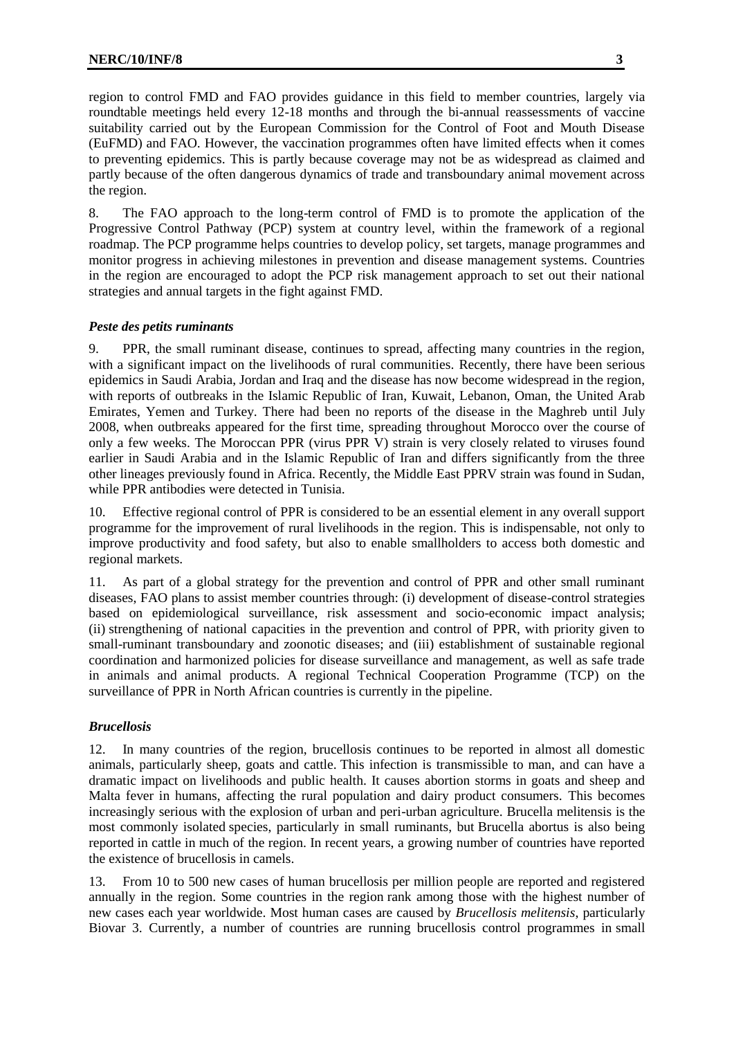region to control FMD and FAO provides guidance in this field to member countries, largely via roundtable meetings held every 12-18 months and through the bi-annual reassessments of vaccine suitability carried out by the European Commission for the Control of Foot and Mouth Disease (EuFMD) and FAO. However, the vaccination programmes often have limited effects when it comes to preventing epidemics. This is partly because coverage may not be as widespread as claimed and partly because of the often dangerous dynamics of trade and transboundary animal movement across the region.

8. The FAO approach to the long-term control of FMD is to promote the application of the Progressive Control Pathway (PCP) system at country level, within the framework of a regional roadmap. The PCP programme helps countries to develop policy, set targets, manage programmes and monitor progress in achieving milestones in prevention and disease management systems. Countries in the region are encouraged to adopt the PCP risk management approach to set out their national strategies and annual targets in the fight against FMD.

# *Peste des petits ruminants*

9. PPR, the small ruminant disease, continues to spread, affecting many countries in the region, with a significant impact on the livelihoods of rural communities. Recently, there have been serious epidemics in Saudi Arabia, Jordan and Iraq and the disease has now become widespread in the region, with reports of outbreaks in the Islamic Republic of Iran, Kuwait, Lebanon, Oman, the United Arab Emirates, Yemen and Turkey. There had been no reports of the disease in the Maghreb until July 2008, when outbreaks appeared for the first time, spreading throughout Morocco over the course of only a few weeks. The Moroccan PPR (virus PPR V) strain is very closely related to viruses found earlier in Saudi Arabia and in the Islamic Republic of Iran and differs significantly from the three other lineages previously found in Africa. Recently, the Middle East PPRV strain was found in Sudan, while PPR antibodies were detected in Tunisia.

10. Effective regional control of PPR is considered to be an essential element in any overall support programme for the improvement of rural livelihoods in the region. This is indispensable, not only to improve productivity and food safety, but also to enable smallholders to access both domestic and regional markets.

11. As part of a global strategy for the prevention and control of PPR and other small ruminant diseases, FAO plans to assist member countries through: (i) development of disease-control strategies based on epidemiological surveillance, risk assessment and socio-economic impact analysis; (ii) strengthening of national capacities in the prevention and control of PPR, with priority given to small-ruminant transboundary and zoonotic diseases; and (iii) establishment of sustainable regional coordination and harmonized policies for disease surveillance and management, as well as safe trade in animals and animal products. A regional Technical Cooperation Programme (TCP) on the surveillance of PPR in North African countries is currently in the pipeline.

# *Brucellosis*

12. In many countries of the region, brucellosis continues to be reported in almost all domestic animals, particularly sheep, goats and cattle. This infection is transmissible to man, and can have a dramatic impact on livelihoods and public health. It causes abortion storms in goats and sheep and Malta fever in humans, affecting the rural population and dairy product consumers. This becomes increasingly serious with the explosion of urban and peri-urban agriculture. Brucella melitensis is the most commonly isolated species, particularly in small ruminants, but Brucella abortus is also being reported in cattle in much of the region. In recent years, a growing number of countries have reported the existence of brucellosis in camels.

13. From 10 to 500 new cases of human brucellosis per million people are reported and registered annually in the region. Some countries in the region rank among those with the highest number of new cases each year worldwide. Most human cases are caused by *Brucellosis melitensis*, particularly Biovar 3. Currently, a number of countries are running brucellosis control programmes in small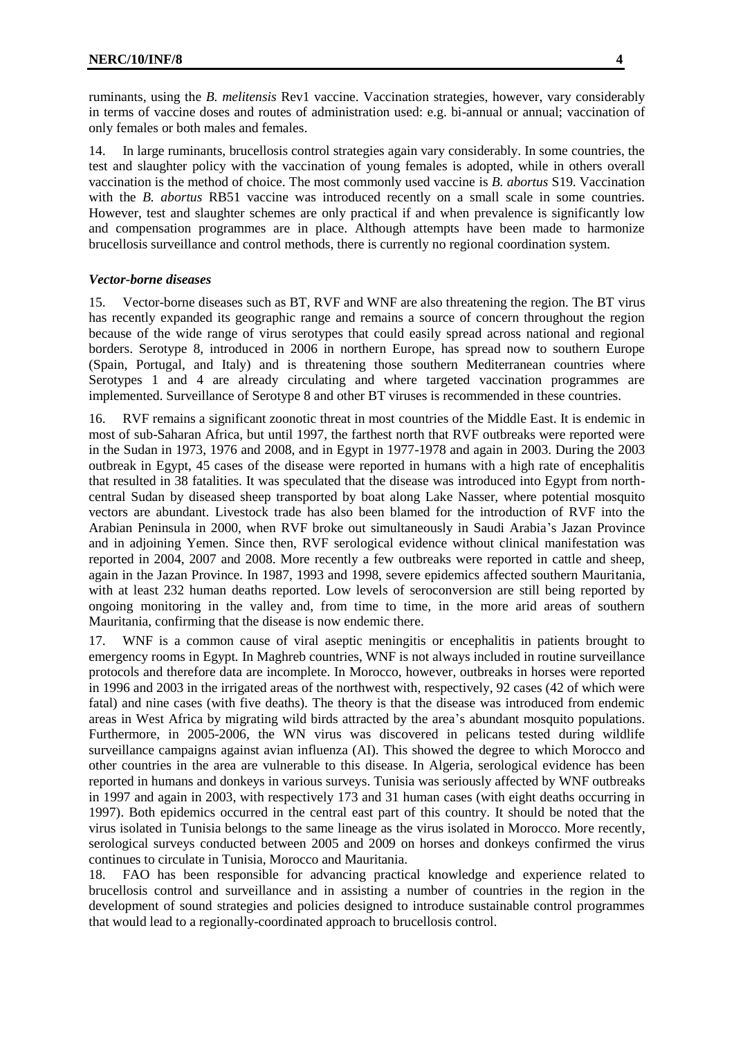ruminants, using the *B. melitensis* Rev1 vaccine. Vaccination strategies, however, vary considerably in terms of vaccine doses and routes of administration used: e.g. bi-annual or annual; vaccination of only females or both males and females.

14. In large ruminants, brucellosis control strategies again vary considerably. In some countries, the test and slaughter policy with the vaccination of young females is adopted, while in others overall vaccination is the method of choice. The most commonly used vaccine is *B. abortus* S19. Vaccination with the *B. abortus* RB51 vaccine was introduced recently on a small scale in some countries. However, test and slaughter schemes are only practical if and when prevalence is significantly low and compensation programmes are in place. Although attempts have been made to harmonize brucellosis surveillance and control methods, there is currently no regional coordination system.

#### *Vector-borne diseases*

15. Vector-borne diseases such as BT, RVF and WNF are also threatening the region. The BT virus has recently expanded its geographic range and remains a source of concern throughout the region because of the wide range of virus serotypes that could easily spread across national and regional borders. Serotype 8, introduced in 2006 in northern Europe, has spread now to southern Europe (Spain, Portugal, and Italy) and is threatening those southern Mediterranean countries where Serotypes 1 and 4 are already circulating and where targeted vaccination programmes are implemented. Surveillance of Serotype 8 and other BT viruses is recommended in these countries.

16. RVF remains a significant zoonotic threat in most countries of the Middle East. It is endemic in most of sub-Saharan Africa, but until 1997, the farthest north that RVF outbreaks were reported were in the Sudan in 1973, 1976 and 2008, and in Egypt in 1977-1978 and again in 2003. During the 2003 outbreak in Egypt, 45 cases of the disease were reported in humans with a high rate of encephalitis that resulted in 38 fatalities. It was speculated that the disease was introduced into Egypt from northcentral Sudan by diseased sheep transported by boat along Lake Nasser, where potential mosquito vectors are abundant. Livestock trade has also been blamed for the introduction of RVF into the Arabian Peninsula in 2000, when RVF broke out simultaneously in Saudi Arabia's Jazan Province and in adjoining Yemen. Since then, RVF serological evidence without clinical manifestation was reported in 2004, 2007 and 2008. More recently a few outbreaks were reported in cattle and sheep, again in the Jazan Province. In 1987, 1993 and 1998, severe epidemics affected southern Mauritania, with at least 232 human deaths reported. Low levels of seroconversion are still being reported by ongoing monitoring in the valley and, from time to time, in the more arid areas of southern Mauritania, confirming that the disease is now endemic there.

17. WNF is a common cause of viral aseptic meningitis or encephalitis in patients brought to emergency rooms in Egypt*.* In Maghreb countries, WNF is not always included in routine surveillance protocols and therefore data are incomplete. In Morocco, however, outbreaks in horses were reported in 1996 and 2003 in the irrigated areas of the northwest with, respectively, 92 cases (42 of which were fatal) and nine cases (with five deaths). The theory is that the disease was introduced from endemic areas in West Africa by migrating wild birds attracted by the area's abundant mosquito populations. Furthermore, in 2005-2006, the WN virus was discovered in pelicans tested during wildlife surveillance campaigns against avian influenza (AI). This showed the degree to which Morocco and other countries in the area are vulnerable to this disease. In Algeria, serological evidence has been reported in humans and donkeys in various surveys. Tunisia was seriously affected by WNF outbreaks in 1997 and again in 2003, with respectively 173 and 31 human cases (with eight deaths occurring in 1997). Both epidemics occurred in the central east part of this country. It should be noted that the virus isolated in Tunisia belongs to the same lineage as the virus isolated in Morocco. More recently, serological surveys conducted between 2005 and 2009 on horses and donkeys confirmed the virus continues to circulate in Tunisia, Morocco and Mauritania.

18. FAO has been responsible for advancing practical knowledge and experience related to brucellosis control and surveillance and in assisting a number of countries in the region in the development of sound strategies and policies designed to introduce sustainable control programmes that would lead to a regionally-coordinated approach to brucellosis control.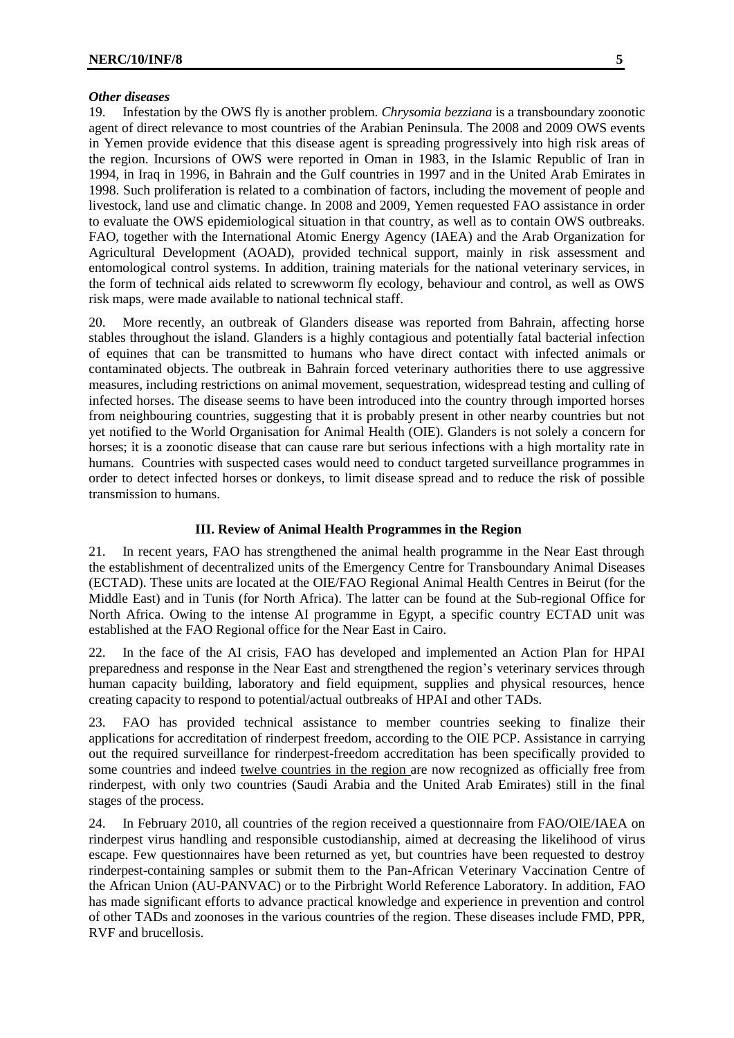#### *Other diseases*

19. Infestation by the OWS fly is another problem. *Chrysomia bezziana* is a transboundary zoonotic agent of direct relevance to most countries of the Arabian Peninsula. The 2008 and 2009 OWS events in Yemen provide evidence that this disease agent is spreading progressively into high risk areas of the region. Incursions of OWS were reported in Oman in 1983, in the Islamic Republic of Iran in 1994, in Iraq in 1996, in Bahrain and the Gulf countries in 1997 and in the United Arab Emirates in 1998. Such proliferation is related to a combination of factors, including the movement of people and livestock, land use and climatic change. In 2008 and 2009, Yemen requested FAO assistance in order to evaluate the OWS epidemiological situation in that country, as well as to contain OWS outbreaks. FAO, together with the International Atomic Energy Agency (IAEA) and the Arab Organization for Agricultural Development (AOAD), provided technical support, mainly in risk assessment and entomological control systems. In addition, training materials for the national veterinary services, in the form of technical aids related to screwworm fly ecology, behaviour and control, as well as OWS risk maps, were made available to national technical staff.

20. More recently, an outbreak of Glanders disease was reported from Bahrain, affecting horse stables throughout the island. Glanders is a highly contagious and potentially fatal bacterial infection of equines that can be transmitted to humans who have direct contact with infected animals or contaminated objects. The outbreak in Bahrain forced veterinary authorities there to use aggressive measures, including restrictions on animal movement, sequestration, widespread testing and culling of infected horses. The disease seems to have been introduced into the country through imported horses from neighbouring countries, suggesting that it is probably present in other nearby countries but not yet notified to the World Organisation for Animal Health (OIE). Glanders is not solely a concern for horses; it is a zoonotic disease that can cause rare but serious infections with a high mortality rate in humans. Countries with suspected cases would need to conduct targeted surveillance programmes in order to detect infected horses or donkeys, to limit disease spread and to reduce the risk of possible transmission to humans.

# **III. Review of Animal Health Programmes in the Region**

<span id="page-4-0"></span>21. In recent years, FAO has strengthened the animal health programme in the Near East through the establishment of decentralized units of the Emergency Centre for Transboundary Animal Diseases (ECTAD). These units are located at the OIE/FAO Regional Animal Health Centres in Beirut (for the Middle East) and in Tunis (for North Africa). The latter can be found at the Sub-regional Office for North Africa. Owing to the intense AI programme in Egypt, a specific country ECTAD unit was established at the FAO Regional office for the Near East in Cairo.

22. In the face of the AI crisis, FAO has developed and implemented an Action Plan for HPAI preparedness and response in the Near East and strengthened the region's veterinary services through human capacity building, laboratory and field equipment, supplies and physical resources, hence creating capacity to respond to potential/actual outbreaks of HPAI and other TADs.

23. FAO has provided technical assistance to member countries seeking to finalize their applications for accreditation of rinderpest freedom, according to the OIE PCP. Assistance in carrying out the required surveillance for rinderpest-freedom accreditation has been specifically provided to some countries and indeed twelve countries in the region are now recognized as officially free from rinderpest, with only two countries (Saudi Arabia and the United Arab Emirates) still in the final stages of the process.

24. In February 2010, all countries of the region received a questionnaire from FAO/OIE/IAEA on rinderpest virus handling and responsible custodianship, aimed at decreasing the likelihood of virus escape. Few questionnaires have been returned as yet, but countries have been requested to destroy rinderpest-containing samples or submit them to the Pan-African Veterinary Vaccination Centre of the African Union (AU-PANVAC) or to the Pirbright World Reference Laboratory. In addition, FAO has made significant efforts to advance practical knowledge and experience in prevention and control of other TADs and zoonoses in the various countries of the region. These diseases include FMD, PPR, RVF and brucellosis.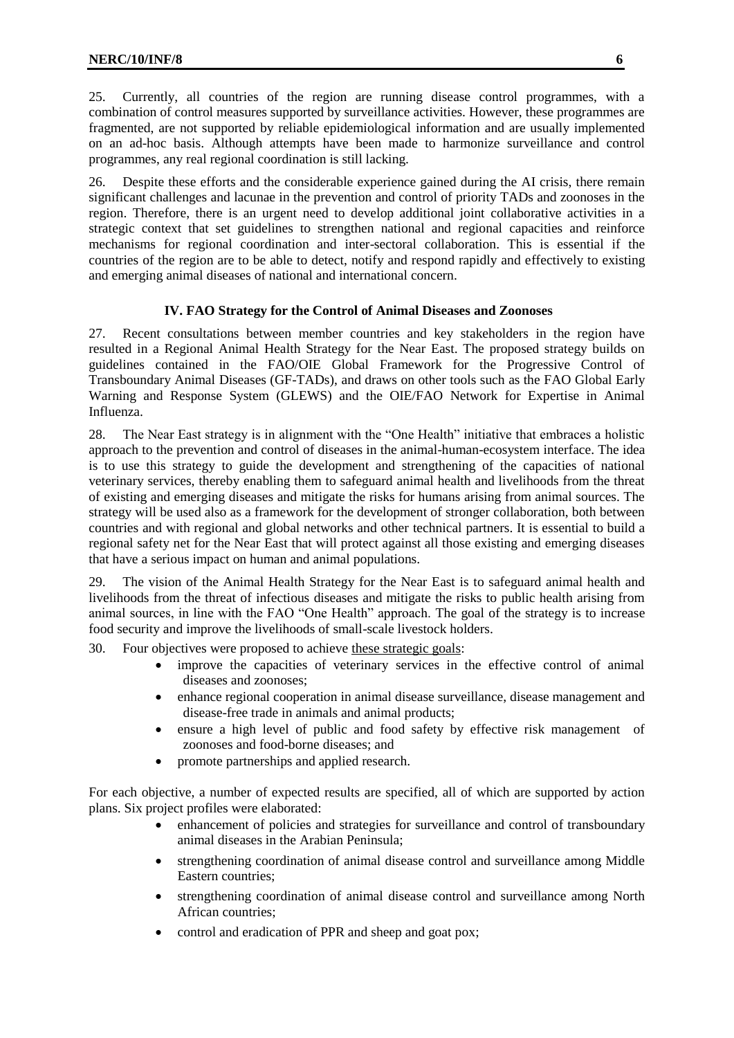25. Currently, all countries of the region are running disease control programmes, with a combination of control measures supported by surveillance activities. However, these programmes are fragmented, are not supported by reliable epidemiological information and are usually implemented on an ad-hoc basis. Although attempts have been made to harmonize surveillance and control programmes, any real regional coordination is still lacking.

26. Despite these efforts and the considerable experience gained during the AI crisis, there remain significant challenges and lacunae in the prevention and control of priority TADs and zoonoses in the region. Therefore, there is an urgent need to develop additional joint collaborative activities in a strategic context that set guidelines to strengthen national and regional capacities and reinforce mechanisms for regional coordination and inter-sectoral collaboration. This is essential if the countries of the region are to be able to detect, notify and respond rapidly and effectively to existing and emerging animal diseases of national and international concern.

# **IV. FAO Strategy for the Control of Animal Diseases and Zoonoses**

<span id="page-5-0"></span>27. Recent consultations between member countries and key stakeholders in the region have resulted in a Regional Animal Health Strategy for the Near East. The proposed strategy builds on guidelines contained in the FAO/OIE Global Framework for the Progressive Control of Transboundary Animal Diseases (GF-TADs), and draws on other tools such as the FAO Global Early Warning and Response System (GLEWS) and the OIE/FAO Network for Expertise in Animal Influenza.

28. The Near East strategy is in alignment with the "One Health" initiative that embraces a holistic approach to the prevention and control of diseases in the animal-human-ecosystem interface. The idea is to use this strategy to guide the development and strengthening of the capacities of national veterinary services, thereby enabling them to safeguard animal health and livelihoods from the threat of existing and emerging diseases and mitigate the risks for humans arising from animal sources. The strategy will be used also as a framework for the development of stronger collaboration, both between countries and with regional and global networks and other technical partners. It is essential to build a regional safety net for the Near East that will protect against all those existing and emerging diseases that have a serious impact on human and animal populations.

29. The vision of the Animal Health Strategy for the Near East is to safeguard animal health and livelihoods from the threat of infectious diseases and mitigate the risks to public health arising from animal sources, in line with the FAO "One Health" approach. The goal of the strategy is to increase food security and improve the livelihoods of small-scale livestock holders.

30. Four objectives were proposed to achieve these strategic goals:

- improve the capacities of veterinary services in the effective control of animal diseases and zoonoses;
- enhance regional cooperation in animal disease surveillance, disease management and disease-free trade in animals and animal products;
- ensure a high level of public and food safety by effective risk management of zoonoses and food-borne diseases; and
- promote partnerships and applied research.

For each objective, a number of expected results are specified, all of which are supported by action plans. Six project profiles were elaborated:

- enhancement of policies and strategies for surveillance and control of transboundary animal diseases in the Arabian Peninsula;
- strengthening coordination of animal disease control and surveillance among Middle Eastern countries;
- strengthening coordination of animal disease control and surveillance among North African countries;
- control and eradication of PPR and sheep and goat pox;